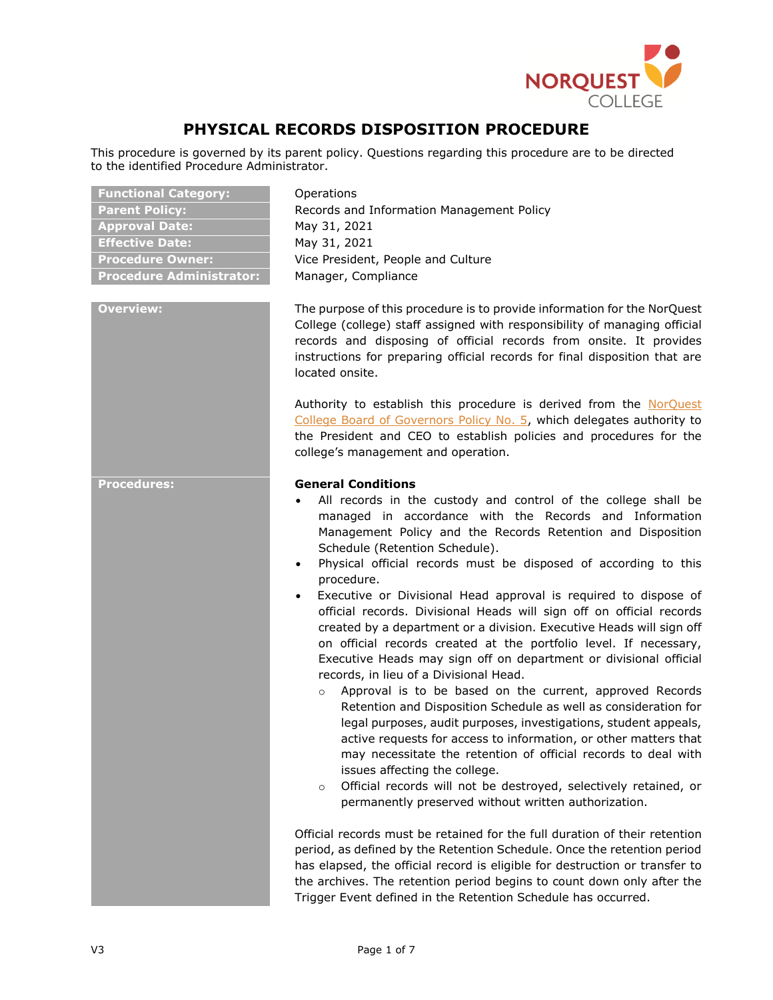

# **PHYSICAL RECORDS DISPOSITION PROCEDURE**

This procedure is governed by its parent policy. Questions regarding this procedure are to be directed to the identified Procedure Administrator.

| <b>Functional Category:</b>     |
|---------------------------------|
| <b>Parent Policy:</b>           |
| <b>Approval Date:</b>           |
| <b>Effective Date:</b>          |
| <b>Procedure Owner:</b>         |
| <b>Procedure Administrator:</b> |

**Operations Parent Policy:** Records and Information Management Policy **Approval Date:** May 31, 2021 **Effective Date:** May 31, 2021 Vice President, People and Culture **Procedure Administrator:** Manager, Compliance

**Overview:** The purpose of this procedure is to provide information for the NorQuest College (college) staff assigned with responsibility of managing official records and disposing of official records from onsite. It provides instructions for preparing official records for final disposition that are [located onsite.](#page-2-0)

> Authority to establish this procedure is derived from the [NorQuest](https://www.norquest.ca/NorquestCollege/media/pdf/about-us/board/policies-procedures/05-Board-Policy_Delegate_authority_to_President.pdf)  [College Board of Governors Policy No. 5,](https://www.norquest.ca/NorquestCollege/media/pdf/about-us/board/policies-procedures/05-Board-Policy_Delegate_authority_to_President.pdf) which delegates authority to the President and CEO to establish policies and procedures for the college's management and operation.

# **Procedures: General Conditions**

- All records in the custody and control of the college shall be managed in accordance with the Records and Information Management Policy and the Records Retention and Disposition Schedule (Retention Schedule).
- Physical official records must be disposed of according to this procedure.
- Executive or Divisional Head approval is required to dispose of official records. Divisional Heads will sign off on official records created by a department or a division. Executive Heads will sign off on official records created at the portfolio level. If necessary, Executive Heads may sign off on department or divisional official records, in lieu of a Divisional Head.
	- o Approval is to be based on the current, approved Records Retention and Disposition Schedule as well as consideration for legal purposes, audit purposes, investigations, student appeals, active requests for access to information, or other matters that may necessitate the retention of official records to deal with issues affecting the college.
	- o Official records will not be destroyed, selectively retained, or permanently preserved without written authorization.

Official records must be retained for the full duration of their retention period, as defined by the Retention Schedule. Once the retention period has elapsed, the official record is eligible for destruction or transfer to the archives. The retention period begins to count down only after the Trigger Event defined in the Retention Schedule has occurred.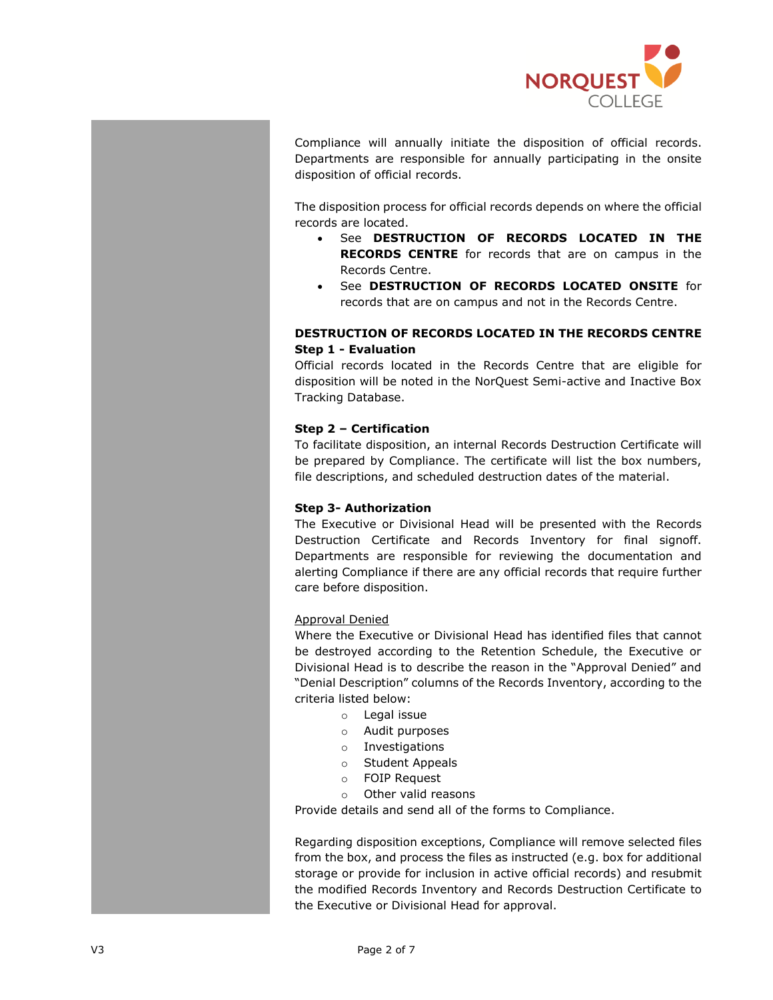

Compliance will annually initiate the disposition of official records. Departments are responsible for annually participating in the onsite disposition of official records.

The disposition process for official records depends on where the official records are located.

- See **[DESTRUCTION OF RECORDS](#page-1-0) LOCATED IN THE RECORDS CENTRE** for records that are on campus in the Records Centre.
- See **[DESTRUCTION OF RECORDS](#page-2-0) LOCATED ONSITE** for records that are on campus and not in the Records Centre.

# <span id="page-1-0"></span>**DESTRUCTION OF RECORDS LOCATED IN THE RECORDS CENTRE Step 1 - Evaluation**

Official records located in the Records Centre that are eligible for disposition will be noted in the NorQuest Semi-active and Inactive Box Tracking Database.

# **Step 2 – Certification**

To facilitate disposition, an internal Records Destruction Certificate will be prepared by Compliance. The certificate will list the box numbers, file descriptions, and scheduled destruction dates of the material.

# **Step 3- Authorization**

The Executive or Divisional Head will be presented with the Records Destruction Certificate and Records Inventory for final signoff. Departments are responsible for reviewing the documentation and alerting Compliance if there are any official records that require further care before disposition.

# Approval Denied

Where the Executive or Divisional Head has identified files that cannot be destroyed according to the Retention Schedule, the Executive or Divisional Head is to describe the reason in the "Approval Denied" and "Denial Description" columns of the Records Inventory, according to the criteria listed below:

- o Legal issue
- o Audit purposes
- o Investigations
- o Student Appeals
- o FOIP Request
- o Other valid reasons

Provide details and send all of the forms to Compliance.

Regarding disposition exceptions, Compliance will remove selected files from the box, and process the files as instructed (e.g. box for additional storage or provide for inclusion in active official records) and resubmit the modified Records Inventory and Records Destruction Certificate to the Executive or Divisional Head for approval.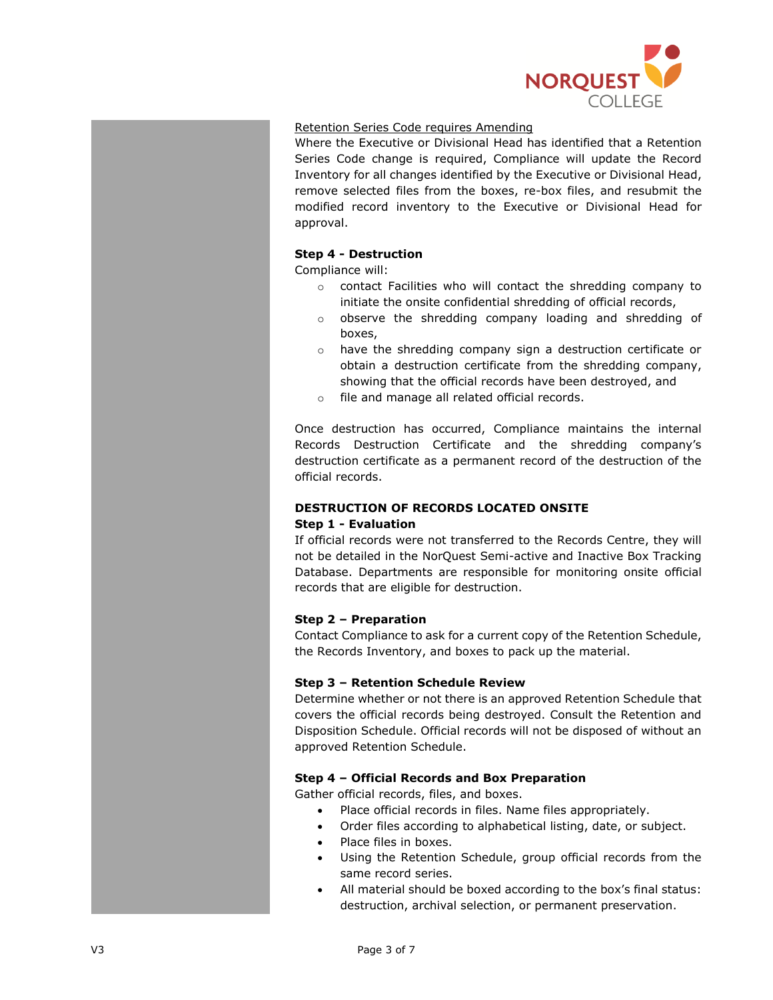

# Retention Series Code requires Amending

Where the Executive or Divisional Head has identified that a Retention Series Code change is required, Compliance will update the Record Inventory for all changes identified by the Executive or Divisional Head, remove selected files from the boxes, re-box files, and resubmit the modified record inventory to the Executive or Divisional Head for approval.

# **Step 4 - Destruction**

Compliance will:

- o contact Facilities who will contact the shredding company to initiate the onsite confidential shredding of official records,
- o observe the shredding company loading and shredding of boxes,
- $\circ$  have the shredding company sign a destruction certificate or obtain a destruction certificate from the shredding company, showing that the official records have been destroyed, and
- o file and manage all related official records.

Once destruction has occurred, Compliance maintains the internal Records Destruction Certificate and the shredding company's destruction certificate as a permanent record of the destruction of the official records.

# <span id="page-2-0"></span>**DESTRUCTION OF RECORDS LOCATED ONSITE Step 1 - Evaluation**

If official records were not transferred to the Records Centre, they will not be detailed in the NorQuest Semi-active and Inactive Box Tracking Database. Departments are responsible for monitoring onsite official records that are eligible for destruction.

# **Step 2 – Preparation**

Contact Compliance to ask for a current copy of the Retention Schedule, the Records Inventory, and boxes to pack up the material.

# **Step 3 – Retention Schedule Review**

Determine whether or not there is an approved Retention Schedule that covers the official records being destroyed. Consult the Retention and Disposition Schedule. Official records will not be disposed of without an approved Retention Schedule.

# **Step 4 – Official Records and Box Preparation**

Gather official records, files, and boxes.

- Place official records in files. Name files appropriately.
- Order files according to alphabetical listing, date, or subject.
- Place files in boxes.
- Using the Retention Schedule, group official records from the same record series.
- All material should be boxed according to the box's final status: destruction, archival selection, or permanent preservation.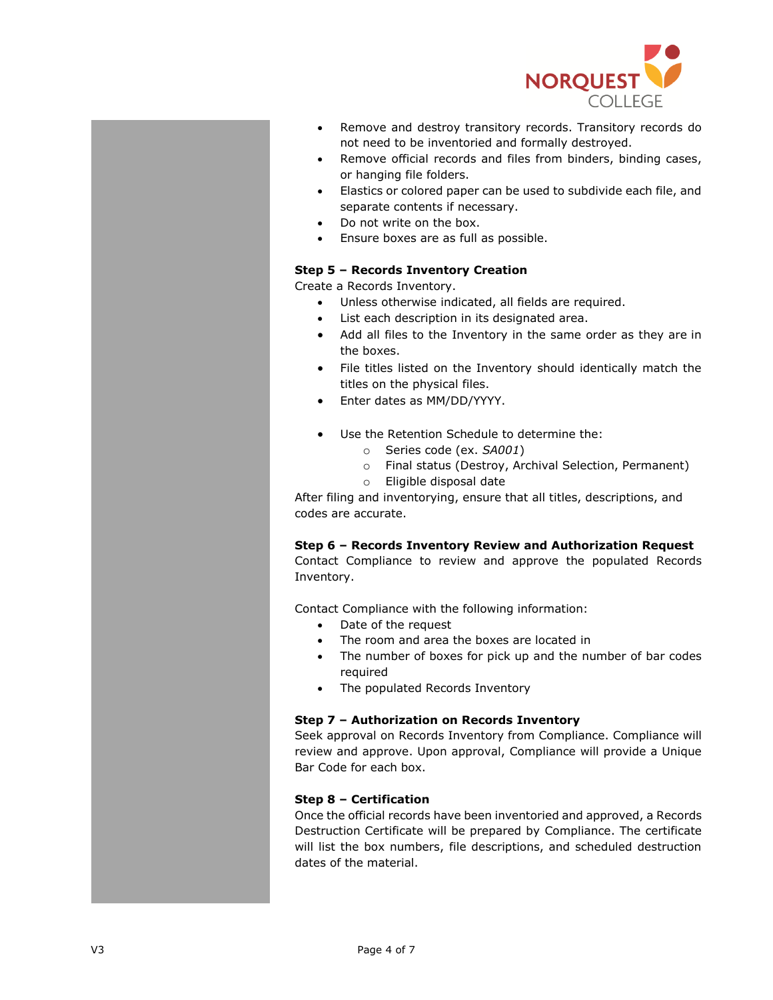

- Remove and destroy transitory records. Transitory records do not need to be inventoried and formally destroyed.
- Remove official records and files from binders, binding cases, or hanging file folders.
- Elastics or colored paper can be used to subdivide each file, and separate contents if necessary.
- Do not write on the box.
- Ensure boxes are as full as possible.

# **Step 5 – Records Inventory Creation**

Create a Records Inventory.

- Unless otherwise indicated, all fields are required.
- List each description in its designated area.
- Add all files to the Inventory in the same order as they are in the boxes.
- File titles listed on the Inventory should identically match the titles on the physical files.
- Enter dates as MM/DD/YYYY.
- Use the Retention Schedule to determine the:
	- o Series code (ex. *SA001*)
	- o Final status (Destroy, Archival Selection, Permanent)
	- o Eligible disposal date

After filing and inventorying, ensure that all titles, descriptions, and codes are accurate.

# **Step 6 – Records Inventory Review and Authorization Request**

Contact Compliance to review and approve the populated Records Inventory.

Contact Compliance with the following information:

- Date of the request
- The room and area the boxes are located in
- The number of boxes for pick up and the number of bar codes required
- The populated Records Inventory

# **Step 7 – Authorization on Records Inventory**

Seek approval on Records Inventory from Compliance. Compliance will review and approve. Upon approval, Compliance will provide a Unique Bar Code for each box.

# **Step 8 – Certification**

Once the official records have been inventoried and approved, a Records Destruction Certificate will be prepared by Compliance. The certificate will list the box numbers, file descriptions, and scheduled destruction dates of the material.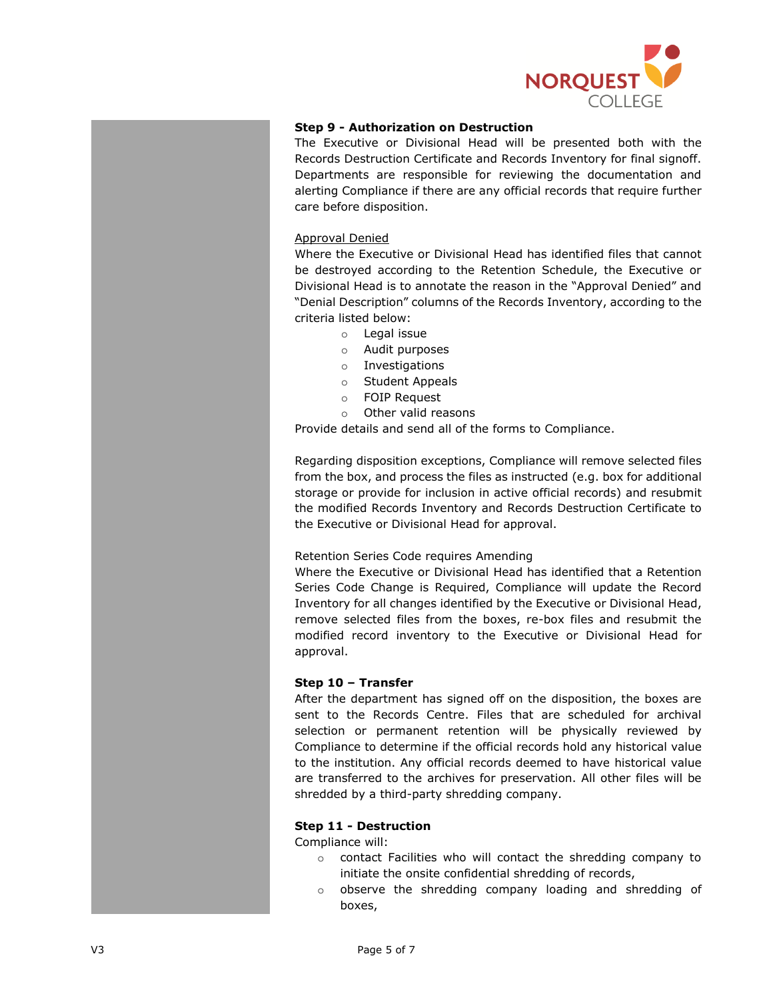

# **Step 9 - Authorization on Destruction**

The Executive or Divisional Head will be presented both with the Records Destruction Certificate and Records Inventory for final signoff. Departments are responsible for reviewing the documentation and alerting Compliance if there are any official records that require further care before disposition.

#### Approval Denied

Where the Executive or Divisional Head has identified files that cannot be destroyed according to the Retention Schedule, the Executive or Divisional Head is to annotate the reason in the "Approval Denied" and "Denial Description" columns of the Records Inventory, according to the criteria listed below:

- o Legal issue
- o Audit purposes
- o Investigations
- o Student Appeals
- o FOIP Request
- o Other valid reasons

Provide details and send all of the forms to Compliance.

Regarding disposition exceptions, Compliance will remove selected files from the box, and process the files as instructed (e.g. box for additional storage or provide for inclusion in active official records) and resubmit the modified Records Inventory and Records Destruction Certificate to the Executive or Divisional Head for approval.

# Retention Series Code requires Amending

Where the Executive or Divisional Head has identified that a Retention Series Code Change is Required, Compliance will update the Record Inventory for all changes identified by the Executive or Divisional Head, remove selected files from the boxes, re-box files and resubmit the modified record inventory to the Executive or Divisional Head for approval.

# **Step 10 – Transfer**

After the department has signed off on the disposition, the boxes are sent to the Records Centre. Files that are scheduled for archival selection or permanent retention will be physically reviewed by Compliance to determine if the official records hold any historical value to the institution. Any official records deemed to have historical value are transferred to the archives for preservation. All other files will be shredded by a third-party shredding company.

# **Step 11 - Destruction**

Compliance will:

- o contact Facilities who will contact the shredding company to initiate the onsite confidential shredding of records,
- o observe the shredding company loading and shredding of boxes,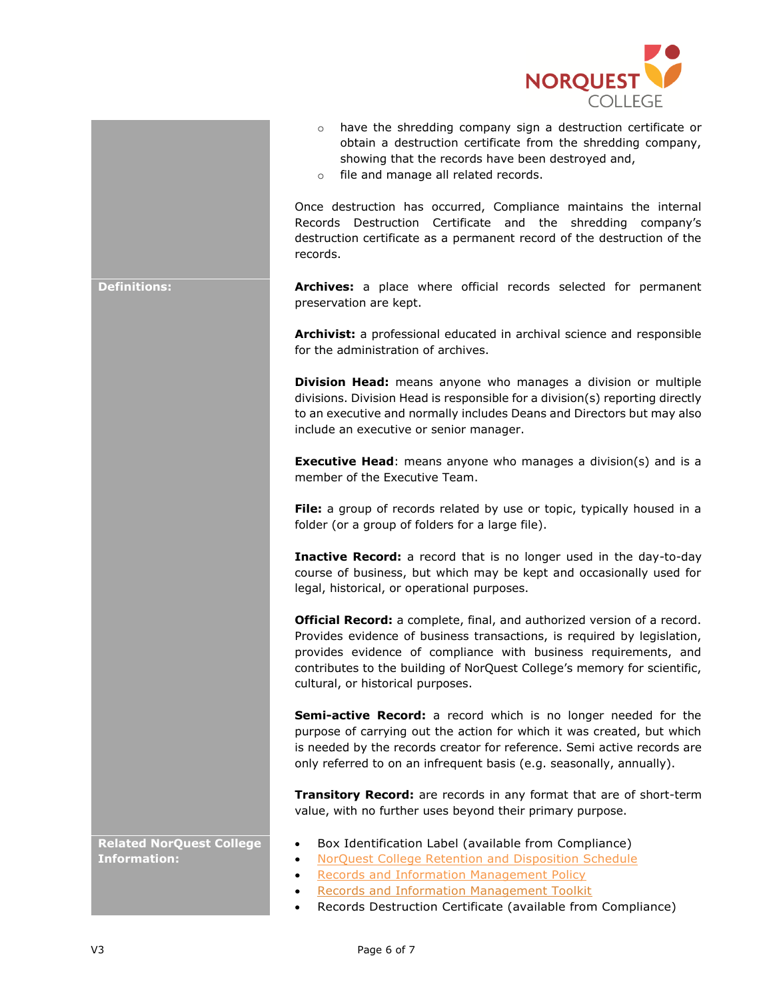

- o have the shredding company sign a destruction certificate or obtain a destruction certificate from the shredding company, showing that the records have been destroyed and,
- o file and manage all related records.

Once destruction has occurred, Compliance maintains the internal Records Destruction Certificate and the shredding company's destruction certificate as a permanent record of the destruction of the records.

**Definitions: Archives:** a place where official records selected for permanent preservation are kept.

> **Archivist:** a professional educated in archival science and responsible for the administration of archives.

> **Division Head:** means anyone who manages a division or multiple divisions. Division Head is responsible for a division(s) reporting directly to an executive and normally includes Deans and Directors but may also include an executive or senior manager.

> **Executive Head:** means anyone who manages a division(s) and is a member of the Executive Team.

> **File:** a group of records related by use or topic, typically housed in a folder (or a group of folders for a large file).

> **Inactive Record:** a record that is no longer used in the day-to-day course of business, but which may be kept and occasionally used for legal, historical, or operational purposes.

> **Official Record:** a complete, final, and authorized version of a record. Provides evidence of business transactions, is required by legislation, provides evidence of compliance with business requirements, and contributes to the building of NorQuest College's memory for scientific, cultural, or historical purposes.

> **Semi-active Record:** a record which is no longer needed for the purpose of carrying out the action for which it was created, but which is needed by the records creator for reference. Semi active records are only referred to on an infrequent basis (e.g. seasonally, annually).

> **Transitory Record:** are records in any format that are of short-term value, with no further uses beyond their primary purpose.

• Box Identification Label (available from Compliance)

• [NorQuest College Retention and Disposition Schedule](https://theq.norquest.ca/cms/getfile/d8fad3b3-243b-4883-91cc-3a290bd6101f/Retention-and-Disposition-Schedule.aspx?latestfordocid=59585&hash=5f00bced6dff6a8b1a4460edde08790d08c00c055ee3b0f0158b104fa942fb58&chset=8461c4be-af07-4096-9811-9e8294e87c15)

- [Records and Information Management Policy](https://www.norquest.ca/about-us/policies-procedure/operations/records-management-policy.aspx)
- [Records and Information Management Toolkit](https://theq.norquest.ca/Departments/Transformation/Public-Wiki/Records-Management-Toolkit.aspx)
- Records Destruction Certificate (available from Compliance)

**Related NorQuest College Information:**